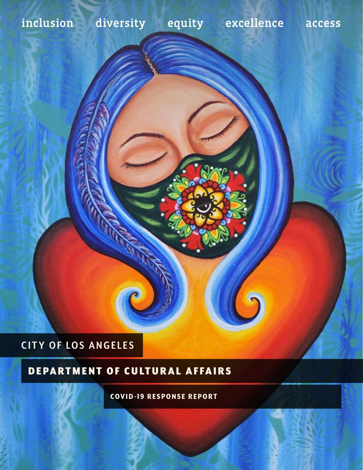# inclusion diversity equity excellence access

# **CITY OF LOS ANGELES**

# DEPARTMENT OF CULTURAL AFFAIRS

COVID-19 RESPONSE REPORT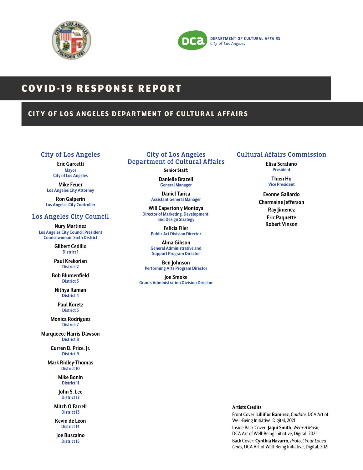



### COVID-19 RESPONSE REPORT

#### CITY OF LOS ANGELES DEPARTMENT OF CULTURAL AFFAIRS

#### City of Los Angeles

**Eric Garcetti Mayor City of Los Angeles**

**Mike Feuer Los Angeles City Attorney**

**Ron Galperin Los Angeles City Controller**

#### Los Angeles City Council

**Nury Martinez Los Angeles City Council President Councilwoman, Sixth District**

> **Gilbert Cedillo District 1**

**Paul Krekorian District 2**

**Bob Blumenfield District 3**

**Nithya Raman District 4**

**Paul Koretz District 5**

**Monica Rodriguez District 7**

**Marqueece Harris-Dawson District 8**

> **Curren D. Price, Jr. District 9**

**Mark Ridley-Thomas District 10**

> **Mike Bonin District 11**

**John S. Lee District 12**

**Mitch O'Farrell District 13**

**Kevin de Leon District 14**

**Joe Buscaino District 15**

#### City of Los Angeles Department of Cultural Affairs

Senior Staff:

**Danielle Brazell General Manager**

**Daniel Tarica Assistant General Manager**

**Will Caperton y Montoya Director of Marketing, Development, and Design Strategy**

> **Felicia Filer Public Art Division Director**

> **Alma Gibson General Administrative and Support Program Director**

**Ben Johnson Performing Arts Program Director**

**Joe Smoke Grants Administration Division Director**

#### Cultural Affairs Commission

**Elisa Scrafano President**

**Thien Ho Vice President**

**Evonne Gallardo Charmaine Jefferson**

> **Ray Jimenez Eric Paquette Robert Vinson**

#### **Artists Credits**

Front Cover: **Lilliflor Ramirez**, *Cuidate*, DCA Art of Well-Being Initiative, Digital, 2021

Inside Back Cover: **Jaqui Smith**, *Wear A Mask*, DCA Art of Well-Being Initiative, Digital, 2021

Back Cover: **Cynthia Navarro**, *Protect Your Loved Ones*, DCA Art of Well-Being Initiative, Digital, 2021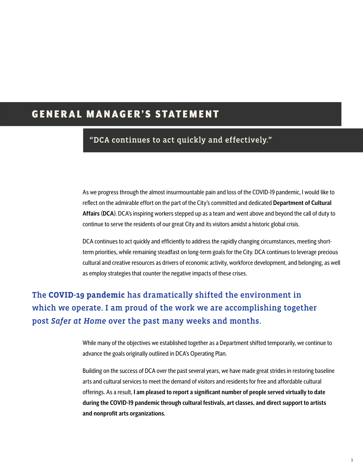## GENERAL MANAGER'S STATEMENT

#### "DCA continues to act quickly and effectively."

As we progress through the almost insurmountable pain and loss of the COVID-19 pandemic, I would like to reflect on the admirable effort on the part of the City's committed and dedicated **Department of Cultural Affairs (DCA)**. DCA's inspiring workers stepped up as a team and went above and beyond the call of duty to continue to serve the residents of our great City and its visitors amidst a historic global crisis.

DCA continues to act quickly and efficiently to address the rapidly changing circumstances, meeting shortterm priorities, while remaining steadfast on long-term goals for the City. DCA continues to leverage precious cultural and creative resources as drivers of economic activity, workforce development, and belonging, as well as employ strategies that counter the negative impacts of these crises.

## The **COVID-19 pandemic** has dramatically shifted the environment in which we operate. I am proud of the work we are accomplishing together post *Safer at Home* over the past many weeks and months.

While many of the objectives we established together as a Department shifted temporarily, we continue to advance the goals originally outlined in DCA's Operating Plan.

Building on the success of DCA over the past several years, we have made great strides in restoring baseline arts and cultural services to meet the demand of visitors and residents for free and affordable cultural offerings. As a result, **I am pleased to report a significant number of people served virtually to date during the COVID-19 pandemic through cultural festivals, art classes, and direct support to artists and nonprofit arts organizations.**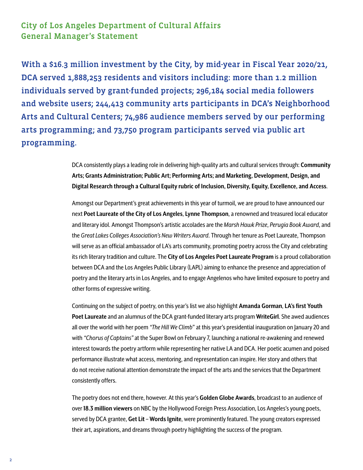#### City of Los Angeles Department of Cultural Affairs General Manager's Statement

With a \$16.3 million investment by the City, by mid-year in Fiscal Year 2020/21, DCA served 1,888,253 residents and visitors including: more than 1.2 million individuals served by grant-funded projects; 296,184 social media followers and website users; 244,413 community arts participants in DCA's Neighborhood Arts and Cultural Centers; 74,986 audience members served by our performing arts programming; and 73,750 program participants served via public art programming.

> DCA consistently plays a leading role in delivering high-quality arts and cultural services through: **Community Arts; Grants Administration; Public Art; Performing Arts; and Marketing, Development, Design, and Digital Research through a Cultural Equity rubric of Inclusion, Diversity, Equity, Excellence, and Access**.

> Amongst our Department's great achievements in this year of turmoil, we are proud to have announced our next **Poet Laureate of the City of Los Angeles**, **Lynne Thompson**, a renowned and treasured local educator and literary idol. Amongst Thompson's artistic accolades are the *Marsh Hawk Prize*, *Perugia Book Award*, and the *Great Lakes Colleges Association's New Writers Award*. Through her tenure as Poet Laureate, Thompson will serve as an official ambassador of LA's arts community, promoting poetry across the City and celebrating its rich literary tradition and culture. The **City of Los Angeles Poet Laureate Program** is a proud collaboration between DCA and the Los Angeles Public Library (LAPL) aiming to enhance the presence and appreciation of poetry and the literary arts in Los Angeles, and to engage Angelenos who have limited exposure to poetry and other forms of expressive writing.

> Continuing on the subject of poetry, on this year's list we also highlight **Amanda Gorman**, **LA's first Youth Poet Laureate** and an alumnus of the DCA grant-funded literary arts program **WriteGirl**. She awed audiences all over the world with her poem *"The Hill We Climb*" at this year's presidential inauguration on January 20 and with *"Chorus of Captains"* at the Super Bowl on February 7, launching a national re-awakening and renewed interest towards the poetry artform while representing her native LA and DCA. Her poetic acumen and poised performance illustrate what access, mentoring, and representation can inspire. Her story and others that do not receive national attention demonstrate the impact of the arts and the services that the Department consistently offers.

The poetry does not end there, however. At this year's **Golden Globe Awards**, broadcast to an audience of over **18.3 million viewers** on NBC by the Hollywood Foreign Press Association, Los Angeles's young poets, served by DCA grantee, **Get Lit – Words Ignite**, were prominently featured. The young creators expressed their art, aspirations, and dreams through poetry highlighting the success of the program.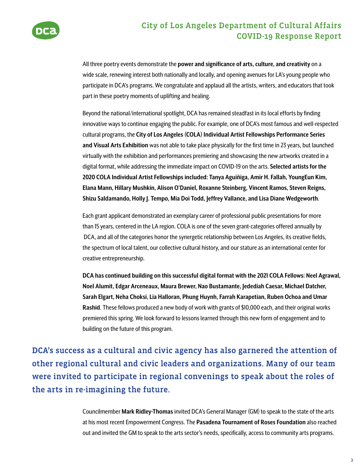

All three poetry events demonstrate the **power and significance of arts, culture, and creativity** on a wide scale, renewing interest both nationally and locally, and opening avenues for LA's young people who participate in DCA's programs. We congratulate and applaud all the artists, writers, and educators that took part in these poetry moments of uplifting and healing.

Beyond the national/international spotlight, DCA has remained steadfast in its local efforts by finding innovative ways to continue engaging the public. For example, one of DCA's most famous and well-respected cultural programs, the **City of Los Angeles (COLA) Individual Artist Fellowships Performance Series and Visual Arts Exhibition** was not able to take place physically for the first time in 23 years, but launched virtually with the exhibition and performances premiering and showcasing the new artworks created in a digital format, while addressing the immediate impact on COVID-19 on the arts. **Selected artists for the 2020 COLA Individual Artist Fellowships included: Tanya Aguiñiga, Amir H. Fallah, YoungEun Kim, Elana Mann, Hillary Mushkin, Alison O'Daniel, Roxanne Steinberg, Vincent Ramos, Steven Reigns, Shizu Saldamando, Holly J. Tempo, Mia Doi Todd, Jeffrey Vallance, and Lisa Diane Wedgeworth**.

Each grant applicant demonstrated an exemplary career of professional public presentations for more than 15 years, centered in the LA region. COLA is one of the seven grant-categories offered annually by DCA, and all of the categories honor the synergetic relationship between Los Angeles, its creative fields, the spectrum of local talent, our collective cultural history, and our stature as an international center for creative entrepreneurship.

**DCA has continued building on this successful digital format with the 2021 COLA Fellows: Neel Agrawal, Noel Alumit, Edgar Arceneaux, Maura Brewer, Nao Bustamante, Jedediah Caesar, Michael Datcher, Sarah Elgart, Neha Choksi, Lia Halloran, Phung Huynh, Farrah Karapetian, Ruben Ochoa and Umar Rashid**. These fellows produced a new body of work with grants of \$10,000 each, and their original works premiered this spring. We look forward to lessons learned through this new form of engagement and to building on the future of this program.

DCA's success as a cultural and civic agency has also garnered the attention of other regional cultural and civic leaders and organizations. Many of our team were invited to participate in regional convenings to speak about the roles of the arts in re-imagining the future.

> Councilmember **Mark Ridley-Thomas** invited DCA's General Manager (GM) to speak to the state of the arts at his most recent Empowerment Congress. The **Pasadena Tournament of Roses Foundation** also reached out and invited the GM to speak to the arts sector's needs, specifically, access to community arts programs.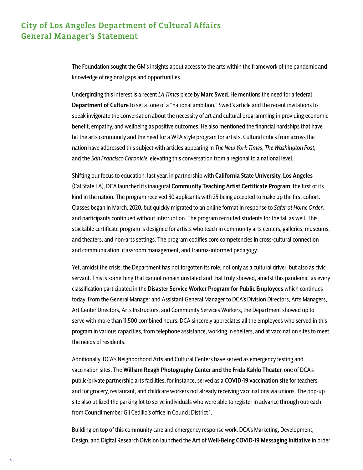#### City of Los Angeles Department of Cultural Affairs General Manager's Statement

The Foundation sought the GM's insights about access to the arts within the framework of the pandemic and knowledge of regional gaps and opportunities.

Undergirding this interest is a recent *LA Times* piece by **Marc Swed**. He mentions the need for a federal **Department of Culture** to set a tone of a "national ambition." Swed's article and the recent invitations to speak invigorate the conversation about the necessity of art and cultural programming in providing economic benefit, empathy, and wellbeing as positive outcomes. He also mentioned the financial hardships that have hit the arts community and the need for a WPA style program for artists. Cultural critics from across the nation have addressed this subject with articles appearing in *The New York Times*, *The Washington Post*, and the *San Francisco Chronicle*, elevating this conversation from a regional to a national level.

Shifting our focus to education: last year, in partnership with **California State University**, **Los Angeles** (Cal State LA), DCA launched its inaugural **Community Teaching Artist Certificate Program**, the first of its kind in the nation. The program received 30 applicants with 25 being accepted to make up the first cohort. Classes began in March, 2020, but quickly migrated to an online format in response to *Safer at Home Order*, and participants continued without interruption. The program recruited students for the fall as well. This stackable certificate program is designed for artists who teach in community arts centers, galleries, museums, and theaters, and non-arts settings. The program codifies core competencies in cross-cultural connection and communication, classroom management, and trauma-informed pedagogy.

Yet, amidst the crisis, the Department has not forgotten its role, not only as a cultural driver, but also as civic servant. This is something that cannot remain unstated and that truly showed, amidst this pandemic, as every classification participated in the **Disaster Service Worker Program for Public Employees** which continues today. From the General Manager and Assistant General Manager to DCA's Division Directors, Arts Managers, Art Center Directors, Arts Instructors, and Community Services Workers, the Department showed up to serve with more than 11,500 combined hours. DCA sincerely appreciates all the employees who served in this program in various capacities, from telephone assistance, working in shelters, and at vaccination sites to meet the needs of residents.

Additionally, DCA's Neighborhood Arts and Cultural Centers have served as emergency testing and vaccination sites. The **William Reagh Photography Center and the Frida Kahlo Theater**, one of DCA's public/private partnership arts facilities, for instance, served as a **COVID-19 vaccination site** for teachers and for grocery, restaurant, and childcare workers not already receiving vaccinations via unions. The pop-up site also utilized the parking lot to serve individuals who were able to register in advance through outreach from Councilmember Gil Cedillo's office in Council District 1.

Building on top of this community care and emergency response work, DCA's Marketing, Development, Design, and Digital Research Division launched the **Art of Well-Being COVID-19 Messaging Initiative** in order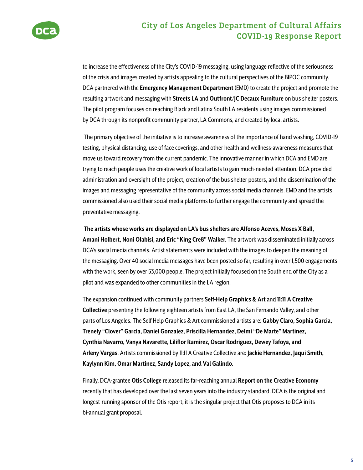

to increase the effectiveness of the City's COVID-19 messaging, using language reflective of the seriousness of the crisis and images created by artists appealing to the cultural perspectives of the BIPOC community. DCA partnered with the **Emergency Management Department** (EMD) to create the project and promote the resulting artwork and messaging with **Streets LA** and **Outfront/JC Decaux Furniture** on bus shelter posters. The pilot program focuses on reaching Black and Latinx South LA residents using images commissioned by DCA through its nonprofit community partner, LA Commons, and created by local artists.

 The primary objective of the initiative is to increase awareness of the importance of hand washing, COVID-19 testing, physical distancing, use of face coverings, and other health and wellness-awareness measures that move us toward recovery from the current pandemic. The innovative manner in which DCA and EMD are trying to reach people uses the creative work of local artists to gain much-needed attention. DCA provided administration and oversight of the project, creation of the bus shelter posters, and the dissemination of the images and messaging representative of the community across social media channels. EMD and the artists commissioned also used their social media platforms to further engage the community and spread the preventative messaging.

#### **The artists whose works are displayed on LA's bus shelters are Alfonso Aceves, Moses X Ball,**

**Amani Holbert, Noni Olabisi, and Eric "King Cre8" Walker**. The artwork was disseminated initially across DCA's social media channels. Artist statements were included with the images to deepen the meaning of the messaging. Over 40 social media messages have been posted so far, resulting in over 1,500 engagements with the work, seen by over 53,000 people. The project initially focused on the South end of the City as a pilot and was expanded to other communities in the LA region.

The expansion continued with community partners **Self-Help Graphics & Art** and **11:11 A Creative Collective** presenting the following eighteen artists from East LA, the San Fernando Valley, and other parts of Los Angeles. The Self Help Graphics & Art commissioned artists are: **Gabby Claro, Sophia Garcia, Trenely "Clover" Garcia, Daniel Gonzalez, Priscilla Hernandez, Delmi "De Marte" Martinez, Cynthia Navarro, Vanya Navarette, Liliflor Ramirez, Oscar Rodriguez, Dewey Tafoya, and Arleny Vargas**. Artists commissioned by 11:11 A Creative Collective are: **Jackie Hernandez, Jaqui Smith, Kaylynn Kim, Omar Martinez, Sandy Lopez, and Val Galindo**.

Finally, DCA-grantee **Otis College** released its far-reaching annual **Report on the Creative Economy** recently that has developed over the last seven years into the industry standard. DCA is the original and longest-running sponsor of the Otis report; it is the singular project that Otis proposes to DCA in its bi-annual grant proposal.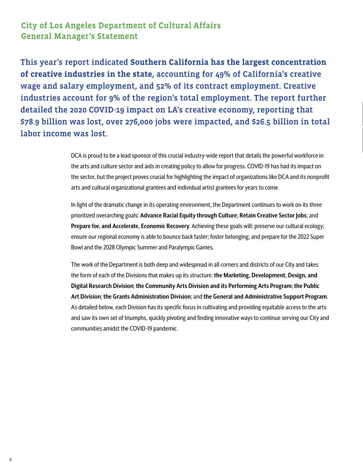### City of Los Angeles Department of Cultural Affairs General Manager's Statement

This year's report indicated **Southern California has the largest concentration of creative industries in the state**, accounting for 49% of California's creative wage and salary employment, and 52% of its contract employment. Creative industries account for 9% of the region's total employment. The report further detailed the 2020 COVID-19 impact on LA's creative economy, reporting that \$78.9 billion was lost, over 276,000 jobs were impacted, and \$26.5 billion in total labor income was lost.

> DCA is proud to be a lead sponsor of this crucial industry-wide report that details the powerful workforce in the arts and culture sector and aids in creating policy to allow for progress. COVID-19 has had its impact on the sector, but the project proves crucial for highlighting the impact of organizations like DCA and its nonprofit arts and cultural organizational grantees and individual artist grantees for years to come.

In light of the dramatic change in its operating environment, the Department continues to work on its three prioritized overarching goals: **Advance Racial Equity through Culture**; **Retain Creative Sector Jobs**; and **Prepare for, and Accelerate, Economic Recovery**. Achieving these goals will: preserve our cultural ecology; ensure our regional economy is able to bounce back faster; foster belonging; and prepare for the 2022 Super Bowl and the 2028 Olympic Summer and Paralympic Games.

The work of the Department is both deep and widespread in all corners and districts of our City and takes the form of each of the Divisions that makes up its structure: **the Marketing, Development, Design, and Digital Research Division**; **the Community Arts Division and its Performing Arts Program**; **the Public Art Division**; **the Grants Administration Division**; and **the General and Administrative Support Program**. As detailed below, each Division has its specific focus in cultivating and providing equitable access to the arts and saw its own set of triumphs, quickly pivoting and finding innovative ways to continue serving our City and communities amidst the COVID-19 pandemic.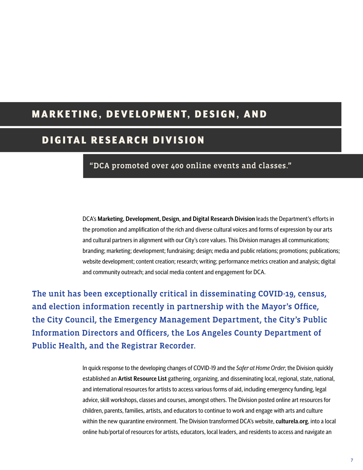## MARKETING, DEVELOPMENT, DESIGN, AND

### DIGITAL RESEARCH DIVISION

"DCA promoted over 400 online events and classes."

DCA's **Marketing, Development, Design, and Digital Research Division** leads the Department's efforts in the promotion and amplification of the rich and diverse cultural voices and forms of expression by our arts and cultural partners in alignment with our City's core values. This Division manages all communications; branding; marketing; development; fundraising; design; media and public relations; promotions; publications; website development; content creation; research; writing; performance metrics creation and analysis; digital and community outreach; and social media content and engagement for DCA.

The unit has been exceptionally critical in disseminating COVID-19, census, and election information recently in partnership with the Mayor's Office, the City Council, the Emergency Management Department, the City's Public Information Directors and Officers, the Los Angeles County Department of Public Health, and the Registrar Recorder.

> In quick response to the developing changes of COVID-19 and the *Safer at Home Order*, the Division quickly established an **Artist Resource List** gathering, organizing, and disseminating local, regional, state, national, and international resources for artists to access various forms of aid, including emergency funding, legal advice, skill workshops, classes and courses, amongst others. The Division posted online art resources for children, parents, families, artists, and educators to continue to work and engage with arts and culture within the new quarantine environment. The Division transformed DCA's website, **culturela.org**, into a local online hub/portal of resources for artists, educators, local leaders, and residents to access and navigate an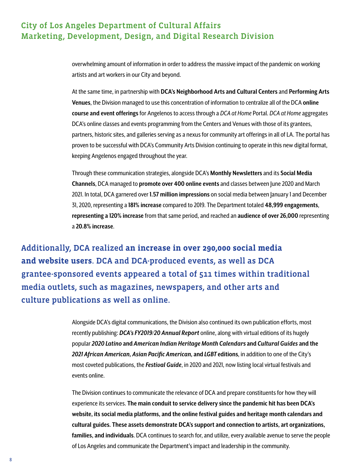#### City of Los Angeles Department of Cultural Affairs Marketing, Development, Design, and Digital Research Division

overwhelming amount of information in order to address the massive impact of the pandemic on working artists and art workers in our City and beyond.

At the same time, in partnership with **DCA's Neighborhood Arts and Cultural Centers** and **Performing Arts Venues**, the Division managed to use this concentration of information to centralize all of the DCA **online course and event offerings** for Angelenos to access through a *DCA at Home* Portal. *DCA at Home* aggregates DCA's online classes and events programming from the Centers and Venues with those of its grantees, partners, historic sites, and galleries serving as a nexus for community art offerings in all of LA. The portal has proven to be successful with DCA's Community Arts Division continuing to operate in this new digital format, keeping Angelenos engaged throughout the year.

Through these communication strategies, alongside DCA's **Monthly Newsletters** and its **Social Media Channels**, DCA managed to **promote over 400 online events** and classes between June 2020 and March 2021. In total, DCA garnered over **1.57 million impressions** on social media between January 1 and December 31, 2020, representing a **181% increase** compared to 2019. The Department totaled **48,999 engagements**, **representing a 120% increase** from that same period, and reached an **audience of over 26,000** representing a **20.8% increase**.

Additionally, DCA realized **an increase in over 290,000 social media and website users**. DCA and DCA-produced events, as well as DCA grantee-sponsored events appeared a total of 511 times within traditional media outlets, such as magazines, newspapers, and other arts and culture publications as well as online.

> Alongside DCA's digital communications, the Division also continued its own publication efforts, most recently publishing: *DCA's FY2019/20 Annual Report* online, along with virtual editions of its hugely popular *2020 Latino* **and** *American Indian Heritage Month Calendars***and** *Cultural Guides***and the** *2021 African American, Asian Pacific American,***and** *LGBT* **editions**, in addition to one of the City's most coveted publications, the *Festival Guide*, in 2020 and 2021, now listing local virtual festivals and events online.

The Division continues to communicate the relevance of DCA and prepare constituents for how they will experience its services. **The main conduit to service delivery since the pandemic hit has been DCA's website, its social media platforms, and the online festival guides and heritage month calendars and cultural guides. These assets demonstrate DCA's support and connection to artists, art organizations, families, and individuals**. DCA continues to search for, and utilize, every available avenue to serve the people of Los Angeles and communicate the Department's impact and leadership in the community.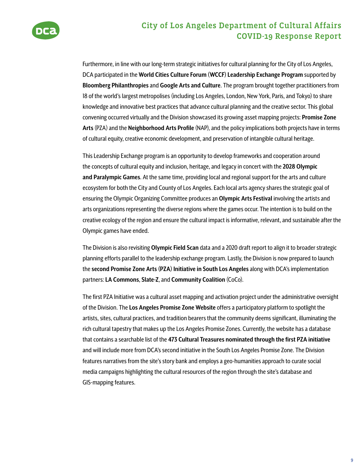Furthermore, in line with our long-term strategic initiatives for cultural planning for the City of Los Angeles, DCA participated in the **World Cities Culture Forum (WCCF)Leadership Exchange Program** supported by **Bloomberg Philanthropies** and **Google Arts and Culture**. The program brought together practitioners from 18 of the world's largest metropolises (including Los Angeles, London, New York, Paris, and Tokyo) to share knowledge and innovative best practices that advance cultural planning and the creative sector. This global convening occurred virtually and the Division showcased its growing asset mapping projects: **Promise Zone Arts** (PZA) and the **Neighborhood Arts Profile** (NAP), and the policy implications both projects have in terms of cultural equity, creative economic development, and preservation of intangible cultural heritage.

This Leadership Exchange program is an opportunity to develop frameworks and cooperation around the concepts of cultural equity and inclusion, heritage, and legacy in concert with the **2028 Olympic and Paralympic Games**. At the same time, providing local and regional support for the arts and culture ecosystem for both the City and County of Los Angeles. Each local arts agency shares the strategic goal of ensuring the Olympic Organizing Committee produces an **Olympic Arts Festival** involving the artists and arts organizations representing the diverse regions where the games occur. The intention is to build on the creative ecology of the region and ensure the cultural impact is informative, relevant, and sustainable after the Olympic games have ended.

The Division is also revisiting **Olympic Field Scan** data and a 2020 draft report to align it to broader strategic planning efforts parallel to the leadership exchange program. Lastly, the Division is now prepared to launch the **second Promise Zone Arts (PZA) Initiative in South Los Angeles** along with DCA's implementation partners: **LA Commons**, **Slate-Z**, and **Community Coalition** (CoCo).

The first PZA Initiative was a cultural asset mapping and activation project under the administrative oversight of the Division. The **Los Angeles Promise Zone Website** offers a participatory platform to spotlight the artists, sites, cultural practices, and tradition bearers that the community deems significant, illuminating the rich cultural tapestry that makes up the Los Angeles Promise Zones. Currently, the website has a database that contains a searchable list of the **473 Cultural Treasures nominated through the first PZA initiative** and will include more from DCA's second initiative in the South Los Angeles Promise Zone. The Division features narratives from the site's story bank and employs a geo-humanities approach to curate social media campaigns highlighting the cultural resources of the region through the site's database and GIS-mapping features.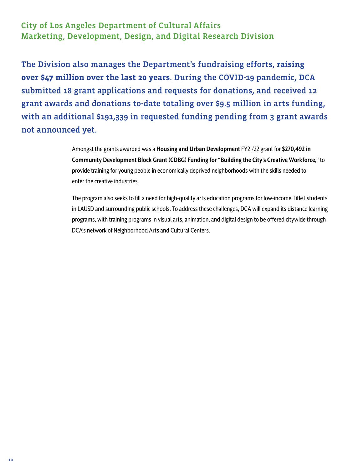### City of Los Angeles Department of Cultural Affairs Marketing, Development, Design, and Digital Research Division

The Division also manages the Department's fundraising efforts, **raising over \$47 million over the last 20 years**. During the COVID-19 pandemic, DCA submitted 18 grant applications and requests for donations, and received 12 grant awards and donations to-date totaling over \$9.5 million in arts funding, with an additional \$191,339 in requested funding pending from 3 grant awards not announced yet.

> Amongst the grants awarded was a **Housing and Urban Development** FY21/22 grant for **\$270,492 in Community Development Block Grant (CDBG) Funding for "Building the City's Creative Workforce,"** to provide training for young people in economically deprived neighborhoods with the skills needed to enter the creative industries.

The program also seeks to fill a need for high-quality arts education programs for low-income Title I students in LAUSD and surrounding public schools. To address these challenges, DCA will expand its distance learning programs, with training programs in visual arts, animation, and digital design to be offered citywide through DCA's network of Neighborhood Arts and Cultural Centers.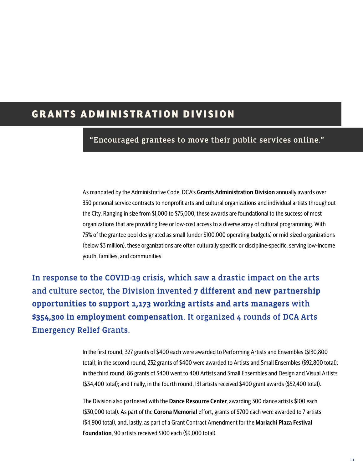## GRANTS ADMINISTRATION DIVISION

#### "Encouraged grantees to move their public services online."

As mandated by the Administrative Code, DCA's **Grants Administration Division** annually awards over 350 personal service contracts to nonprofit arts and cultural organizations and individual artists throughout the City. Ranging in size from \$1,000 to \$75,000, these awards are foundational to the success of most organizations that are providing free or low-cost access to a diverse array of cultural programming. With 75% of the grantee pool designated as small (under \$100,000 operating budgets) or mid-sized organizations (below \$3 million), these organizations are often culturally specific or discipline-specific, serving low-income youth, families, and communities

In response to the COVID-19 crisis, which saw a drastic impact on the arts and culture sector, the Division invented **7 different and new partnership opportunities to support 1,173 working artists and arts managers** with **\$354,300 in employment compensation**. It organized 4 rounds of DCA Arts Emergency Relief Grants.

> In the first round, 327 grants of \$400 each were awarded to Performing Artists and Ensembles (\$130,800 total); in the second round, 232 grants of \$400 were awarded to Artists and Small Ensembles (\$92,800 total); in the third round, 86 grants of \$400 went to 400 Artists and Small Ensembles and Design and Visual Artists (\$34,400 total); and finally, in the fourth round, 131 artists received \$400 grant awards (\$52,400 total).

The Division also partnered with the **Dance Resource Center**, awarding 300 dance artists \$100 each (\$30,000 total). As part of the **Corona Memorial** effort, grants of \$700 each were awarded to 7 artists (\$4,900 total), and, lastly, as part of a Grant Contract Amendment for the **Mariachi Plaza Festival Foundation**, 90 artists received \$100 each (\$9,000 total).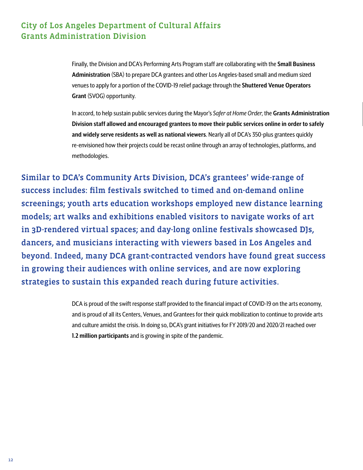#### City of Los Angeles Department of Cultural Affairs Grants Administration Division

Finally, the Division and DCA's Performing Arts Program staff are collaborating with the **Small Business Administration** (SBA) to prepare DCA grantees and other Los Angeles-based small and medium sized venues to apply for a portion of the COVID-19 relief package through the **Shuttered Venue Operators Grant** (SVOG) opportunity.

In accord, to help sustain public services during the Mayor's *Safer at Home Order*, the **Grants Administration Division staff allowed and encouraged grantees to move their public services online in order to safely and widely serve residents as well as national viewers**. Nearly all of DCA's 350-plus grantees quickly re-envisioned how their projects could be recast online through an array of technologies, platforms, and methodologies.

Similar to DCA's Community Arts Division, DCA's grantees' wide-range of success includes: film festivals switched to timed and on-demand online screenings; youth arts education workshops employed new distance learning models; art walks and exhibitions enabled visitors to navigate works of art in 3D-rendered virtual spaces; and day-long online festivals showcased DJs, dancers, and musicians interacting with viewers based in Los Angeles and beyond. Indeed, many DCA grant-contracted vendors have found great success in growing their audiences with online services, and are now exploring strategies to sustain this expanded reach during future activities.

> DCA is proud of the swift response staff provided to the financial impact of COVID-19 on the arts economy, and is proud of all its Centers, Venues, and Grantees for their quick mobilization to continue to provide arts and culture amidst the crisis. In doing so, DCA's grant initiatives for FY 2019/20 and 2020/21 reached over **1.2 million participants** and is growing in spite of the pandemic.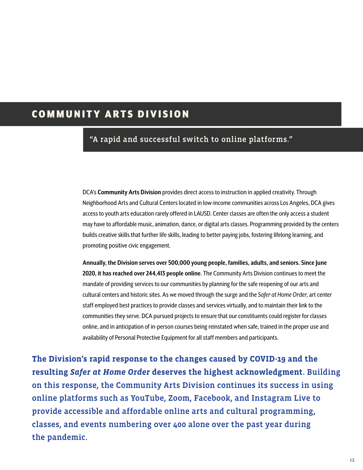## COMMUNITY ARTS DIVISION

#### "A rapid and successful switch to online platforms."

DCA's **Community Arts Division** provides direct access to instruction in applied creativity. Through Neighborhood Arts and Cultural Centers located in low-income communities across Los Angeles, DCA gives access to youth arts education rarely offered in LAUSD. Center classes are often the only access a student may have to affordable music, animation, dance, or digital arts classes. Programming provided by the centers builds creative skills that further life skills, leading to better paying jobs, fostering lifelong learning, and promoting positive civic engagement.

**Annually, the Division serves over 500,000 young people, families, adults, and seniors. Since June 2020, it has reached over 244,413 people online**. The Community Arts Division continues to meet the mandate of providing services to our communities by planning for the safe reopening of our arts and cultural centers and historic sites. As we moved through the surge and the *Safer at Home Order*, art center staff employed best practices to provide classes and services virtually, and to maintain their link to the communities they serve. DCA pursued projects to ensure that our constituents could register for classes online, and in anticipation of in-person courses being reinstated when safe, trained in the proper use and availability of Personal Protective Equipment for all staff members and participants.

**The Division's rapid response to the changes caused by COVID-19 and the resulting** *Safer at Home Order* **deserves the highest acknowledgment**. Building on this response, the Community Arts Division continues its success in using online platforms such as YouTube, Zoom, Facebook, and Instagram Live to provide accessible and affordable online arts and cultural programming, classes, and events numbering over 400 alone over the past year during the pandemic.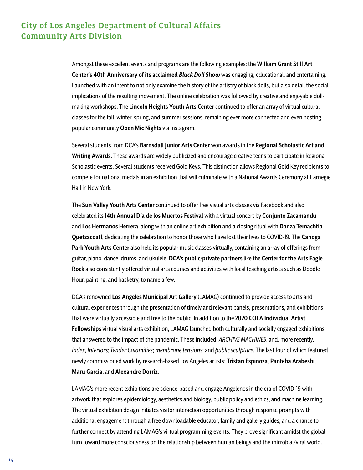#### City of Los Angeles Department of Cultural Affairs Community Arts Division

Amongst these excellent events and programs are the following examples: the **William Grant Still Art Center's 40th Anniversary of its acclaimed** *Black Doll Show* was engaging, educational, and entertaining. Launched with an intent to not only examine the history of the artistry of black dolls, but also detail the social implications of the resulting movement. The online celebration was followed by creative and enjoyable dollmaking workshops. The **Lincoln Heights Youth Arts Center** continued to offer an array of virtual cultural classes for the fall, winter, spring, and summer sessions, remaining ever more connected and even hosting popular community **Open Mic Nights** via Instagram.

Several students from DCA's **Barnsdall Junior Arts Center** won awards in the **Regional Scholastic Art and Writing Awards**. These awards are widely publicized and encourage creative teens to participate in Regional Scholastic events. Several students received Gold Keys. This distinction allows Regional Gold Key recipients to compete for national medals in an exhibition that will culminate with a National Awards Ceremony at Carnegie Hall in New York.

The **Sun Valley Youth Arts Center** continued to offer free visual arts classes via Facebook and also celebrated its **14th Annual Día de los Muertos Festival** with a virtual concert by **Conjunto Zacamandu** and **Los Hermanos Herrera**, along with an online art exhibition and a closing ritual with **Danza Temachtia Quetzacoatl**, dedicating the celebration to honor those who have lost their lives to COVID-19. The **Canoga Park Youth Arts Center** also held its popular music classes virtually, containing an array of offerings from guitar, piano, dance, drums, and ukulele. **DCA's public/private partners** like the **Center for the Arts Eagle Rock** also consistently offered virtual arts courses and activities with local teaching artists such as Doodle Hour, painting, and basketry, to name a few.

DCA's renowned **Los Angeles Municipal Art Gallery** (LAMAG) continued to provide access to arts and cultural experiences through the presentation of timely and relevant panels, presentations, and exhibitions that were virtually accessible and free to the public. In addition to the **2020 COLA Individual Artist Fellowships** virtual visual arts exhibition, LAMAG launched both culturally and socially engaged exhibitions that answered to the impact of the pandemic. These included: *ARCHIVE MACHINES*, and, more recently, *Index, Interiors; Tender Calamities*; *membrane tensions*; and *public sculpture*. The last four of which featured newly commissioned work by research-based Los Angeles artists: **Tristan Espinoza**, **Panteha Arabeshi**, **Maru Garcia**, and **Alexandre Dorriz**.

LAMAG's more recent exhibitions are science-based and engage Angelenos in the era of COVID-19 with artwork that explores epidemiology, aesthetics and biology, public policy and ethics, and machine learning. The virtual exhibition design initiates visitor interaction opportunities through response prompts with additional engagement through a free downloadable educator, family and gallery guides, and a chance to further connect by attending LAMAG's virtual programming events. They prove significant amidst the global turn toward more consciousness on the relationship between human beings and the microbial/viral world.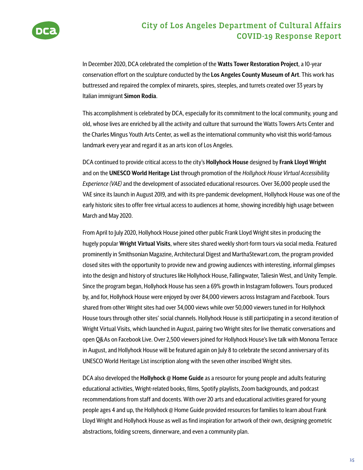

In December 2020, DCA celebrated the completion of the **Watts Tower Restoration Project**, a 10-year conservation effort on the sculpture conducted by the **Los Angeles County Museum of Art**. This work has buttressed and repaired the complex of minarets, spires, steeples, and turrets created over 33 years by Italian immigrant **Simon Rodia**.

This accomplishment is celebrated by DCA, especially for its commitment to the local community, young and old, whose lives are enriched by all the activity and culture that surround the Watts Towers Arts Center and the Charles Mingus Youth Arts Center, as well as the international community who visit this world-famous landmark every year and regard it as an arts icon of Los Angeles.

DCA continued to provide critical access to the city's **Hollyhock House** designed by **Frank Lloyd Wright**  and on the **UNESCO World Heritage List** through promotion of the *Hollyhock House Virtual Accessibility Experience (VAE)* and the development of associated educational resources. Over 36,000 people used the VAE since its launch in August 2019, and with its pre-pandemic development, Hollyhock House was one of the early historic sites to offer free virtual access to audiences at home, showing incredibly high usage between March and May 2020.

From April to July 2020, Hollyhock House joined other public Frank Lloyd Wright sites in producing the hugely popular **Wright Virtual Visits**, where sites shared weekly short-form tours via social media. Featured prominently in Smithsonian Magazine, Architectural Digest and MarthaStewart.com, the program provided closed sites with the opportunity to provide new and growing audiences with interesting, informal glimpses into the design and history of structures like Hollyhock House, Fallingwater, Taliesin West, and Unity Temple. Since the program began, Hollyhock House has seen a 69% growth in Instagram followers. Tours produced by, and for, Hollyhock House were enjoyed by over 84,000 viewers across Instagram and Facebook. Tours shared from other Wright sites had over 34,000 views while over 50,000 viewers tuned in for Hollyhock House tours through other sites' social channels. Hollyhock House is still participating in a second iteration of Wright Virtual Visits, which launched in August, pairing two Wright sites for live thematic conversations and open Q&As on Facebook Live. Over 2,500 viewers joined for Hollyhock House's live talk with Monona Terrace in August, and Hollyhock House will be featured again on July 8 to celebrate the second anniversary of its UNESCO World Heritage List inscription along with the seven other inscribed Wright sites.

DCA also developed the **Hollyhock @ Home Guide** as a resource for young people and adults featuring educational activities, Wright-related books, films, Spotify playlists, Zoom backgrounds, and podcast recommendations from staff and docents. With over 20 arts and educational activities geared for young people ages 4 and up, the Hollyhock @ Home Guide provided resources for families to learn about Frank Lloyd Wright and Hollyhock House as well as find inspiration for artwork of their own, designing geometric abstractions, folding screens, dinnerware, and even a community plan.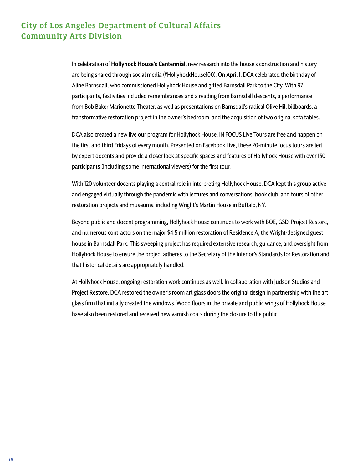#### City of Los Angeles Department of Cultural Affairs Community Arts Division

In celebration of **Hollyhock House's Centennia**l, new research into the house's construction and history are being shared through social media (#HollyhockHouse100). On April 1, DCA celebrated the birthday of Aline Barnsdall, who commissioned Hollyhock House and gifted Barnsdall Park to the City. With 97 participants, festivities included remembrances and a reading from Barnsdall descents, a performance from Bob Baker Marionette Theater, as well as presentations on Barnsdall's radical Olive Hill billboards, a transformative restoration project in the owner's bedroom, and the acquisition of two original sofa tables.

DCA also created a new live our program for Hollyhock House. IN FOCUS Live Tours are free and happen on the first and third Fridays of every month. Presented on Facebook Live, these 20-minute focus tours are led by expert docents and provide a closer look at specific spaces and features of Hollyhock House with over 130 participants (including some international viewers) for the first tour.

With 120 volunteer docents playing a central role in interpreting Hollyhock House, DCA kept this group active and engaged virtually through the pandemic with lectures and conversations, book club, and tours of other restoration projects and museums, including Wright's Martin House in Buffalo, NY.

Beyond public and docent programming, Hollyhock House continues to work with BOE, GSD, Project Restore, and numerous contractors on the major \$4.5 million restoration of Residence A, the Wright-designed guest house in Barnsdall Park. This sweeping project has required extensive research, guidance, and oversight from Hollyhock House to ensure the project adheres to the Secretary of the Interior's Standards for Restoration and that historical details are appropriately handled.

At Hollyhock House, ongoing restoration work continues as well. In collaboration with Judson Studios and Project Restore, DCA restored the owner's room art glass doors the original design in partnership with the art glass firm that initially created the windows. Wood floors in the private and public wings of Hollyhock House have also been restored and received new varnish coats during the closure to the public.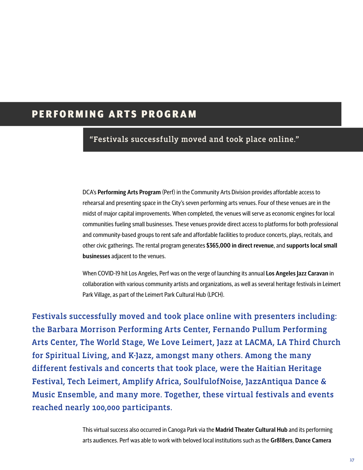## PERFORMING ARTS PROGRAM

#### "Festivals successfully moved and took place online."

DCA's **Performing Arts Program** (Perf) in the Community Arts Division provides affordable access to rehearsal and presenting space in the City's seven performing arts venues. Four of these venues are in the midst of major capital improvements. When completed, the venues will serve as economic engines for local communities fueling small businesses. These venues provide direct access to platforms for both professional and community-based groups to rent safe and affordable facilities to produce concerts, plays, recitals, and other civic gatherings. The rental program generates **\$365,000 in direct revenue**, and **supports local small businesses** adjacent to the venues.

When COVID-19 hit Los Angeles, Perf was on the verge of launching its annual **Los Angeles Jazz Caravan** in collaboration with various community artists and organizations, as well as several heritage festivals in Leimert Park Village, as part of the Leimert Park Cultural Hub (LPCH).

Festivals successfully moved and took place online with presenters including: the Barbara Morrison Performing Arts Center, Fernando Pullum Performing Arts Center, The World Stage, We Love Leimert, Jazz at LACMA, LA Third Church for Spiritual Living, and K-Jazz, amongst many others. Among the many different festivals and concerts that took place, were the Haitian Heritage Festival, Tech Leimert, Amplify Africa, SoulfulofNoise, JazzAntiqua Dance & Music Ensemble, and many more. Together, these virtual festivals and events reached nearly 100,000 participants.

> This virtual success also occurred in Canoga Park via the **Madrid Theater Cultural Hub** and its performing arts audiences. Perf was able to work with beloved local institutions such as the **Gr818ers**, **Dance Camera**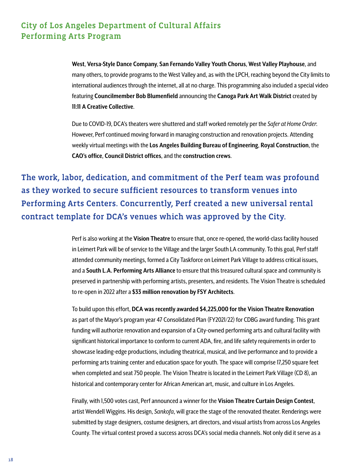### City of Los Angeles Department of Cultural Affairs Performing Arts Program

**West**, **Versa-Style Dance Company**, **San Fernando Valley Youth Chorus**, **West Valley Playhouse**, and many others, to provide programs to the West Valley and, as with the LPCH, reaching beyond the City limits to international audiences through the internet, all at no charge. This programming also included a special video featuring **Councilmember Bob Blumenfield** announcing the **Canoga Park Art Walk District** created by **11:11 A Creative Collective**.

Due to COVID-19, DCA's theaters were shuttered and staff worked remotely per the *Safer at Home Order*. However, Perf continued moving forward in managing construction and renovation projects. Attending weekly virtual meetings with the **Los Angeles Building Bureau of Engineering**, **Royal Construction**, the **CAO's office**, **Council District offices**, and the **construction crews**.

The work, labor, dedication, and commitment of the Perf team was profound as they worked to secure sufficient resources to transform venues into Performing Arts Centers. Concurrently, Perf created a new universal rental contract template for DCA's venues which was approved by the City.

> Perf is also working at the **Vision Theatre** to ensure that, once re-opened, the world-class facility housed in Leimert Park will be of service to the Village and the larger South LA community. To this goal, Perf staff attended community meetings, formed a City Taskforce on Leimert Park Village to address critical issues, and a **South L.A. Performing Arts Alliance** to ensure that this treasured cultural space and community is preserved in partnership with performing artists, presenters, and residents. The Vision Theatre is scheduled to re-open in 2022 after a **\$33 million renovation by FSY Architects**.

To build upon this effort, **DCA was recently awarded \$4,225,000 for the Vision Theatre Renovation** as part of the Mayor's program year 47 Consolidated Plan (FY2021/22) for CDBG award funding. This grant funding will authorize renovation and expansion of a City-owned performing arts and cultural facility with significant historical importance to conform to current ADA, fire, and life safety requirements in order to showcase leading-edge productions, including theatrical, musical, and live performance and to provide a performing arts training center and education space for youth. The space will comprise 17,250 square feet when completed and seat 750 people. The Vision Theatre is located in the Leimert Park Village (CD 8), an historical and contemporary center for African American art, music, and culture in Los Angeles.

Finally, with 1,500 votes cast, Perf announced a winner for the **Vision Theatre Curtain Design Contest**, artist Wendell Wiggins. His design, *Sankofa*, will grace the stage of the renovated theater. Renderings were submitted by stage designers, costume designers, art directors, and visual artists from across Los Angeles County. The virtual contest proved a success across DCA's social media channels. Not only did it serve as a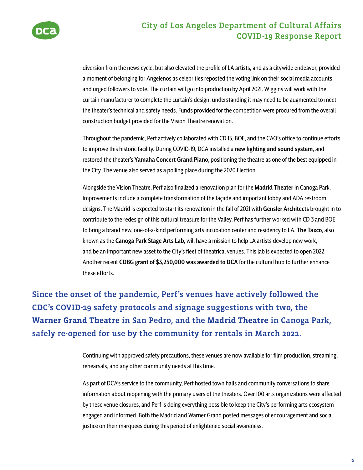

diversion from the news cycle, but also elevated the profile of LA artists, and as a citywide endeavor, provided a moment of belonging for Angelenos as celebrities reposted the voting link on their social media accounts and urged followers to vote. The curtain will go into production by April 2021. Wiggins will work with the curtain manufacturer to complete the curtain's design, understanding it may need to be augmented to meet the theater's technical and safety needs. Funds provided for the competition were procured from the overall construction budget provided for the Vision Theatre renovation.

Throughout the pandemic, Perf actively collaborated with CD 15, BOE, and the CAO's office to continue efforts to improve this historic facility. During COVID-19, DCA installed a **new lighting and sound system**, and restored the theater's **Yamaha Concert Grand Piano**, positioning the theatre as one of the best equipped in the City. The venue also served as a polling place during the 2020 Election.

Alongside the Vision Theatre, Perf also finalized a renovation plan for the **Madrid Theater** in Canoga Park. Improvements include a complete transformation of the façade and important lobby and ADA restroom designs. The Madrid is expected to start its renovation in the fall of 2021 with **Gensler Architects** brought in to contribute to the redesign of this cultural treasure for the Valley. Perf has further worked with CD 3 and BOE to bring a brand new, one-of-a-kind performing arts incubation center and residency to LA. **The Taxco**, also known as the **Canoga Park Stage Arts Lab**, will have a mission to help LA artists develop new work, and be an important new asset to the City's fleet of theatrical venues. This lab is expected to open 2022. Another recent **CDBG grant of \$3,250,000 was awarded to DCA** for the cultural hub to further enhance these efforts.

Since the onset of the pandemic, Perf's venues have actively followed the CDC's COVID-19 safety protocols and signage suggestions with two, the **Warner Grand Theatre** in San Pedro, and the **Madrid Theatre** in Canoga Park, safely re-opened for use by the community for rentals in March 2021.

> Continuing with approved safety precautions, these venues are now available for film production, streaming, rehearsals, and any other community needs at this time.

As part of DCA's service to the community, Perf hosted town halls and community conversations to share information about reopening with the primary users of the theaters. Over 100 arts organizations were affected by these venue closures, and Perf is doing everything possible to keep the City's performing arts ecosystem engaged and informed. Both the Madrid and Warner Grand posted messages of encouragement and social justice on their marquees during this period of enlightened social awareness.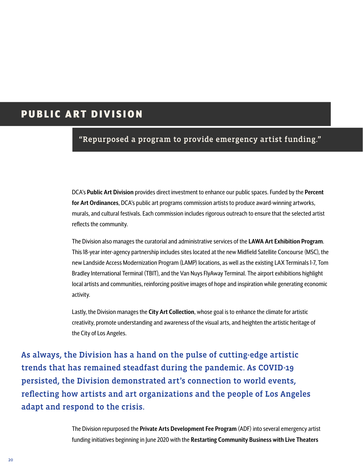### PUBLIC ART DIVISION

#### "Repurposed a program to provide emergency artist funding."

DCA's **Public Art Division** provides direct investment to enhance our public spaces. Funded by the **Percent for Art Ordinances**, DCA's public art programs commission artists to produce award-winning artworks, murals, and cultural festivals. Each commission includes rigorous outreach to ensure that the selected artist reflects the community.

The Division also manages the curatorial and administrative services of the **LAWA Art Exhibition Program**. This 18-year inter-agency partnership includes sites located at the new Midfield Satellite Concourse (MSC), the new Landside Access Modernization Program (LAMP) locations, as well as the existing LAX Terminals 1-7, Tom Bradley International Terminal (TBIT), and the Van Nuys FlyAway Terminal. The airport exhibitions highlight local artists and communities, reinforcing positive images of hope and inspiration while generating economic activity.

Lastly, the Division manages the **City Art Collection**, whose goal is to enhance the climate for artistic creativity, promote understanding and awareness of the visual arts, and heighten the artistic heritage of the City of Los Angeles.

As always, the Division has a hand on the pulse of cutting-edge artistic trends that has remained steadfast during the pandemic. As COVID-19 persisted, the Division demonstrated art's connection to world events, reflecting how artists and art organizations and the people of Los Angeles adapt and respond to the crisis.

> The Division repurposed the **Private Arts Development Fee Program** (ADF) into several emergency artist funding initiatives beginning in June 2020 with the **Restarting Community Business with Live Theaters**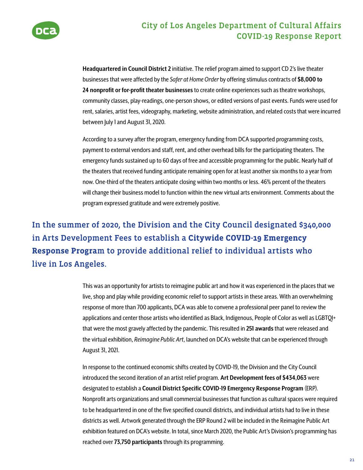

**Headquartered in Council District 2** initiative. The relief program aimed to support CD 2's live theater businesses that were affected by the *Safer at Home Order* by offering stimulus contracts of **\$8,000 to 24 nonprofit or for-profit theater businesses** to create online experiences such as theatre workshops, community classes, play-readings, one-person shows, or edited versions of past events. Funds were used for rent, salaries, artist fees, videography, marketing, website administration, and related costs that were incurred between July 1 and August 31, 2020.

According to a survey after the program, emergency funding from DCA supported programming costs, payment to external vendors and staff, rent, and other overhead bills for the participating theaters. The emergency funds sustained up to 60 days of free and accessible programming for the public. Nearly half of the theaters that received funding anticipate remaining open for at least another six months to a year from now. One-third of the theaters anticipate closing within two months or less. 46% percent of the theaters will change their business model to function within the new virtual arts environment. Comments about the program expressed gratitude and were extremely positive.

In the summer of 2020, the Division and the City Council designated \$340,000 in Arts Development Fees to establish a **Citywide COVID-19 Emergency Response Progra**m to provide additional relief to individual artists who live in Los Angeles.

> This was an opportunity for artists to reimagine public art and how it was experienced in the places that we live, shop and play while providing economic relief to support artists in these areas. With an overwhelming response of more than 700 applicants, DCA was able to convene a professional peer panel to review the applications and center those artists who identified as Black, Indigenous, People of Color as well as LGBTQI+ that were the most gravely affected by the pandemic. This resulted in **251 awards** that were released and the virtual exhibition, *Reimagine Public Art*, launched on DCA's website that can be experienced through August 31, 2021.

> In response to the continued economic shifts created by COVID-19, the Division and the City Council introduced the second iteration of an artist relief program. **Art Development fees of \$434,063** were designated to establish a **Council District Specific COVID-19 Emergency Response Program** (ERP). Nonprofit arts organizations and small commercial businesses that function as cultural spaces were required to be headquartered in one of the five specified council districts, and individual artists had to live in these districts as well. Artwork generated through the ERP Round 2 will be included in the Reimagine Public Art exhibition featured on DCA's website. In total, since March 2020, the Public Art's Division's programming has reached over **73,750 participants** through its programming.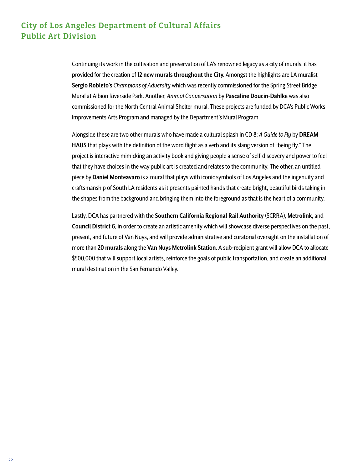### City of Los Angeles Department of Cultural Affairs Public Art Division

Continuing its work in the cultivation and preservation of LA's renowned legacy as a city of murals, it has provided for the creation of **12 new murals throughout the City**. Amongst the highlights are LA muralist **Sergio Robleto's** *Champions of Adversity* which was recently commissioned for the Spring Street Bridge Mural at Albion Riverside Park. Another, *Animal Conversation* by **Pascaline Doucin-Dahlke** was also commissioned for the North Central Animal Shelter mural. These projects are funded by DCA's Public Works Improvements Arts Program and managed by the Department's Mural Program.

Alongside these are two other murals who have made a cultural splash in CD 8: *A Guide to Fly* by **DREAM HAUS** that plays with the definition of the word flight as a verb and its slang version of "being fly." The project is interactive mimicking an activity book and giving people a sense of self-discovery and power to feel that they have choices in the way public art is created and relates to the community. The other, an untitled piece by **Daniel Monteavaro** is a mural that plays with iconic symbols of Los Angeles and the ingenuity and craftsmanship of South LA residents as it presents painted hands that create bright, beautiful birds taking in the shapes from the background and bringing them into the foreground as that is the heart of a community.

Lastly, DCA has partnered with the **Southern California Regional Rail Authority** (SCRRA), **Metrolink**, and **Council District 6**, in order to create an artistic amenity which will showcase diverse perspectives on the past, present, and future of Van Nuys, and will provide administrative and curatorial oversight on the installation of more than **20 murals** along the **Van Nuys Metrolink Station**. A sub-recipient grant will allow DCA to allocate \$500,000 that will support local artists, reinforce the goals of public transportation, and create an additional mural destination in the San Fernando Valley.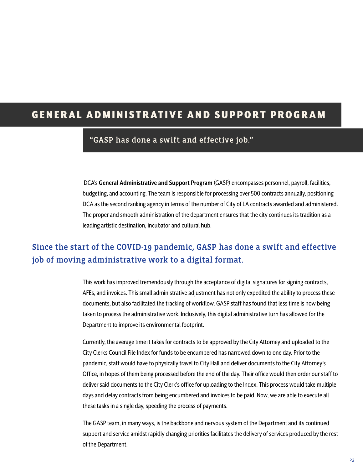### GENERAL ADMINISTRATIVE AND SUPPORT PROGRAM

#### "GASP has done a swift and effective job."

 DCA's **General Administrative and Support Program** (GASP) encompasses personnel, payroll, facilities, budgeting, and accounting. The team is responsible for processing over 500 contracts annually, positioning DCA as the second ranking agency in terms of the number of City of LA contracts awarded and administered. The proper and smooth administration of the department ensures that the city continues its tradition as a leading artistic destination, incubator and cultural hub.

### Since the start of the COVID-19 pandemic, GASP has done a swift and effective job of moving administrative work to a digital format.

This work has improved tremendously through the acceptance of digital signatures for signing contracts, AFEs, and invoices. This small administrative adjustment has not only expedited the ability to process these documents, but also facilitated the tracking of workflow. GASP staff has found that less time is now being taken to process the administrative work. Inclusively, this digital administrative turn has allowed for the Department to improve its environmental footprint.

Currently, the average time it takes for contracts to be approved by the City Attorney and uploaded to the City Clerks Council File Index for funds to be encumbered has narrowed down to one day. Prior to the pandemic, staff would have to physically travel to City Hall and deliver documents to the City Attorney's Office, in hopes of them being processed before the end of the day. Their office would then order our staff to deliver said documents to the City Clerk's office for uploading to the Index. This process would take multiple days and delay contracts from being encumbered and invoices to be paid. Now, we are able to execute all these tasks in a single day, speeding the process of payments.

The GASP team, in many ways, is the backbone and nervous system of the Department and its continued support and service amidst rapidly changing priorities facilitates the delivery of services produced by the rest of the Department.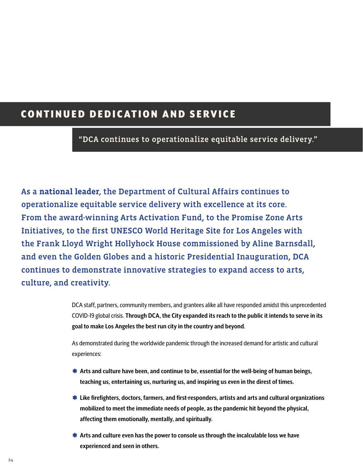## CONTINUED DEDICATION AND SERVICE

"DCA continues to operationalize equitable service delivery."

As a **national leader**, the Department of Cultural Affairs continues to operationalize equitable service delivery with excellence at its core. From the award-winning Arts Activation Fund, to the Promise Zone Arts Initiatives, to the first UNESCO World Heritage Site for Los Angeles with the Frank Lloyd Wright Hollyhock House commissioned by Aline Barnsdall, and even the Golden Globes and a historic Presidential Inauguration, DCA continues to demonstrate innovative strategies to expand access to arts, culture, and creativity.

> DCA staff, partners, community members, and grantees alike all have responded amidst this unprecedented COVID-19 global crisis. **Through DCA, the City expanded its reach to the public it intends to serve in its goal to make Los Angeles the best run city in the country and beyond**.

As demonstrated during the worldwide pandemic through the increased demand for artistic and cultural experiences:

- **Example 2 Arts and culture have been, and continue to be, essential for the well-being of human beings, teaching us, entertaining us, nurturing us, and inspiring us even in the direst of times.**
- **Example Firefighters, doctors, farmers, and first-responders, artists and arts and cultural organizations mobilized to meet the immediate needs of people, as the pandemic hit beyond the physical, affecting them emotionally, mentally, and spiritually.**
- **Example 2 Arts and culture even has the power to console us through the incalculable loss we have experienced and seen in others.**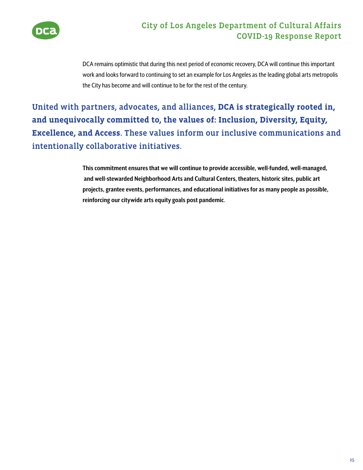

DCA remains optimistic that during this next period of economic recovery, DCA will continue this important work and looks forward to continuing to set an example for Los Angeles as the leading global arts metropolis the City has become and will continue to be for the rest of the century.

United with partners, advocates, and alliances, **DCA is strategically rooted in, and unequivocally committed to, the values of: Inclusion, Diversity, Equity, Excellence, and Access**. These values inform our inclusive communications and intentionally collaborative initiatives.

> **This commitment ensures that we will continue to provide accessible, well-funded, well-managed, and well-stewarded Neighborhood Arts and Cultural Centers, theaters, historic sites, public art projects, grantee events, performances, and educational initiatives for as many people as possible, reinforcing our citywide arts equity goals post pandemic**.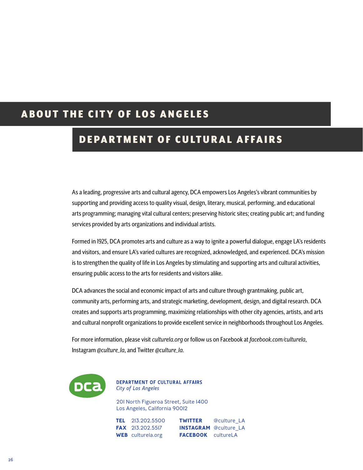## ABOUT THE CITY OF LOS ANGELES

### DEPARTMENT OF CULTURAL AFFAIRS

As a leading, progressive arts and cultural agency, DCA empowers Los Angeles's vibrant communities by supporting and providing access to quality visual, design, literary, musical, performing, and educational arts programming; managing vital cultural centers; preserving historic sites; creating public art; and funding services provided by arts organizations and individual artists.

Formed in 1925, DCA promotes arts and culture as a way to ignite a powerful dialogue, engage LA's residents and visitors, and ensure LA's varied cultures are recognized, acknowledged, and experienced. DCA's mission is to strengthen the quality of life in Los Angeles by stimulating and supporting arts and cultural activities, ensuring public access to the arts for residents and visitors alike.

DCA advances the social and economic impact of arts and culture through grantmaking, public art, community arts, performing arts, and strategic marketing, development, design, and digital research. DCA creates and supports arts programming, maximizing relationships with other city agencies, artists, and arts and cultural nonprofit organizations to provide excellent service in neighborhoods throughout Los Angeles.

For more information, please visit *culturela.org* or follow us on Facebook at *facebook.com/culturela*, Instagram *@culture\_la*, and Twitter *@culture\_la*.



DEPARTMENT OF CULTURAL AFFAIRS City of Los Angeles

201 North Figueroa Street, Suite 1400 Los Angeles, California 90012

| <b>TEL</b> 213.202.5500  | <b>TWITTER</b>            | @culture LA                  |
|--------------------------|---------------------------|------------------------------|
| <b>FAX</b> 213.202.5517  |                           | <b>INSTAGRAM @culture LA</b> |
| <b>WEB</b> culturela.org | <b>FACEBOOK</b> cultureLA |                              |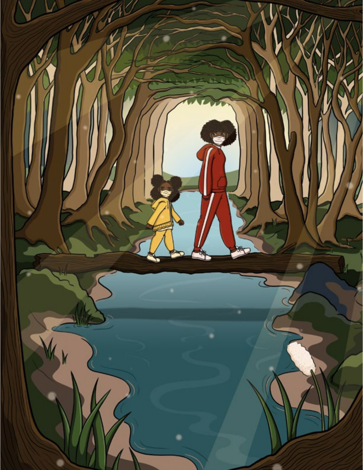